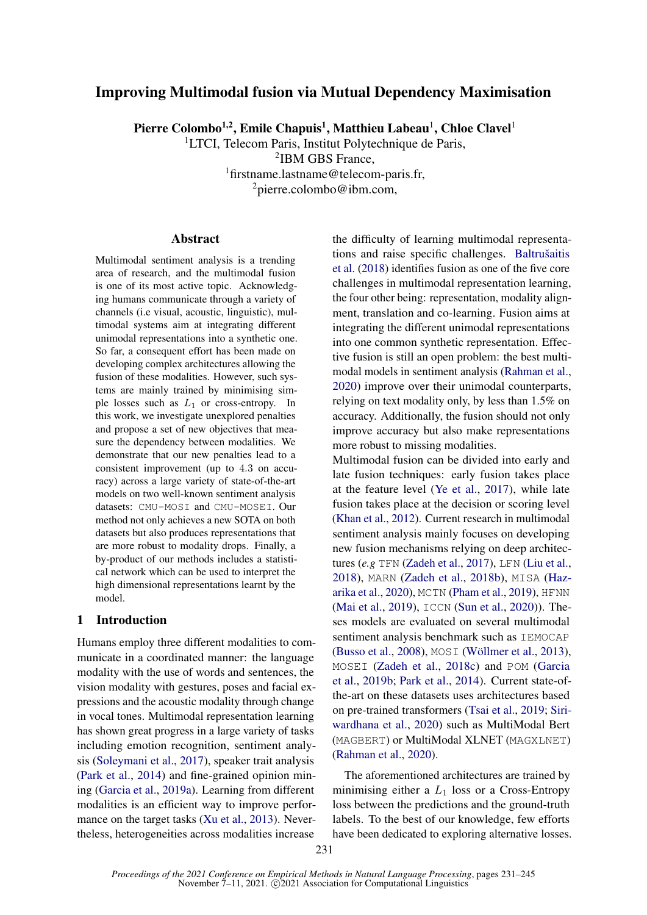# Improving Multimodal fusion via Mutual Dependency Maximisation

Pierre Colombo<sup>1,2</sup>, Emile Chapuis<sup>1</sup>, Matthieu Labeau<sup>1</sup>, Chloe Clavel<sup>1</sup>

<sup>1</sup>LTCI, Telecom Paris, Institut Polytechnique de Paris, IBM GBS France, firstname.lastname@telecom-paris.fr, pierre.colombo@ibm.com,

#### Abstract

Multimodal sentiment analysis is a trending area of research, and the multimodal fusion is one of its most active topic. Acknowledging humans communicate through a variety of channels (i.e visual, acoustic, linguistic), multimodal systems aim at integrating different unimodal representations into a synthetic one. So far, a consequent effort has been made on developing complex architectures allowing the fusion of these modalities. However, such systems are mainly trained by minimising simple losses such as  $L_1$  or cross-entropy. In this work, we investigate unexplored penalties and propose a set of new objectives that measure the dependency between modalities. We demonstrate that our new penalties lead to a consistent improvement (up to 4.3 on accuracy) across a large variety of state-of-the-art models on two well-known sentiment analysis datasets: CMU-MOSI and CMU-MOSEI. Our method not only achieves a new SOTA on both datasets but also produces representations that are more robust to modality drops. Finally, a by-product of our methods includes a statistical network which can be used to interpret the high dimensional representations learnt by the model.

### 1 Introduction

Humans employ three different modalities to communicate in a coordinated manner: the language modality with the use of words and sentences, the vision modality with gestures, poses and facial expressions and the acoustic modality through change in vocal tones. Multimodal representation learning has shown great progress in a large variety of tasks including emotion recognition, sentiment analysis [\(Soleymani et al.,](#page-10-0) [2017\)](#page-10-0), speaker trait analysis [\(Park et al.,](#page-9-0) [2014\)](#page-9-0) and fine-grained opinion mining [\(Garcia et al.,](#page-9-1) [2019a\)](#page-9-1). Learning from different modalities is an efficient way to improve performance on the target tasks [\(Xu et al.,](#page-10-1) [2013\)](#page-10-1). Nevertheless, heterogeneities across modalities increase

the difficulty of learning multimodal representations and raise specific challenges. [Baltrušaitis](#page-8-0) [et al.](#page-8-0) [\(2018\)](#page-8-0) identifies fusion as one of the five core challenges in multimodal representation learning, the four other being: representation, modality alignment, translation and co-learning. Fusion aims at integrating the different unimodal representations into one common synthetic representation. Effective fusion is still an open problem: the best multimodal models in sentiment analysis [\(Rahman et al.,](#page-10-2) [2020\)](#page-10-2) improve over their unimodal counterparts, relying on text modality only, by less than 1.5% on accuracy. Additionally, the fusion should not only improve accuracy but also make representations more robust to missing modalities.

Multimodal fusion can be divided into early and late fusion techniques: early fusion takes place at the feature level [\(Ye et al.,](#page-10-3) [2017\)](#page-10-3), while late fusion takes place at the decision or scoring level [\(Khan et al.,](#page-9-2) [2012\)](#page-9-2). Current research in multimodal sentiment analysis mainly focuses on developing new fusion mechanisms relying on deep architectures (*e.g* TFN [\(Zadeh et al.,](#page-10-4) [2017\)](#page-10-4), LFN [\(Liu et al.,](#page-9-3) [2018\)](#page-9-3), MARN [\(Zadeh et al.,](#page-11-0) [2018b\)](#page-11-0), MISA [\(Haz](#page-9-4)[arika et al.,](#page-9-4) [2020\)](#page-9-4), MCTN [\(Pham et al.,](#page-10-5) [2019\)](#page-10-5), HFNN [\(Mai et al.,](#page-9-5) [2019\)](#page-9-5), ICCN [\(Sun et al.,](#page-10-6) [2020\)](#page-10-6)). Theses models are evaluated on several multimodal sentiment analysis benchmark such as IEMOCAP [\(Busso et al.,](#page-8-1) [2008\)](#page-8-1), MOSI [\(Wöllmer et al.,](#page-10-7) [2013\)](#page-10-7), MOSEI [\(Zadeh et al.,](#page-11-1) [2018c\)](#page-11-1) and POM [\(Garcia](#page-9-6) [et al.,](#page-9-6) [2019b;](#page-9-6) [Park et al.,](#page-9-0) [2014\)](#page-9-0). Current state-ofthe-art on these datasets uses architectures based on pre-trained transformers [\(Tsai et al.,](#page-10-8) [2019;](#page-10-8) [Siri](#page-10-9)[wardhana et al.,](#page-10-9) [2020\)](#page-10-9) such as MultiModal Bert (MAGBERT) or MultiModal XLNET (MAGXLNET) [\(Rahman et al.,](#page-10-2) [2020\)](#page-10-2).

The aforementioned architectures are trained by minimising either a  $L_1$  loss or a Cross-Entropy loss between the predictions and the ground-truth labels. To the best of our knowledge, few efforts have been dedicated to exploring alternative losses.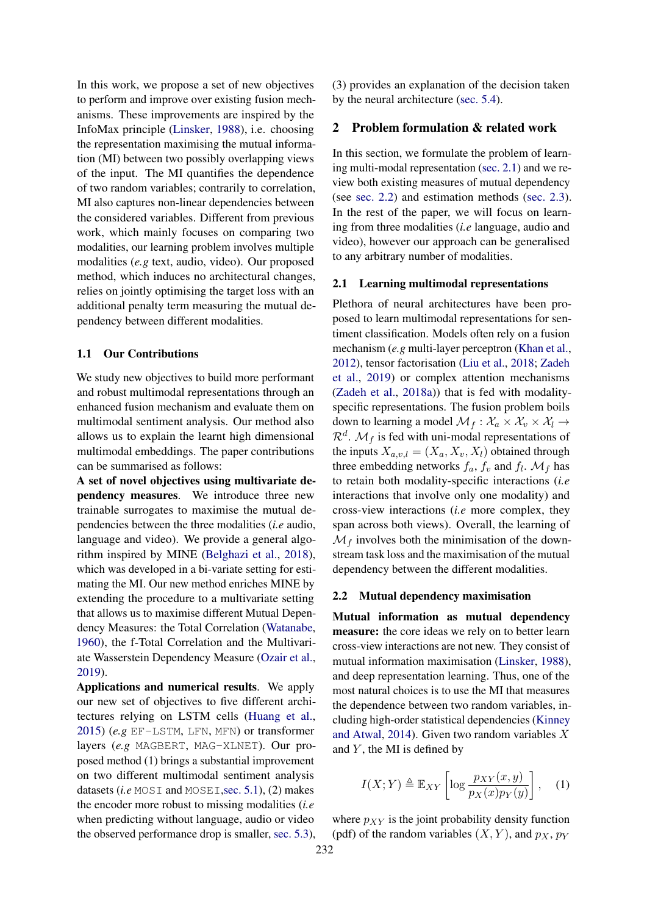In this work, we propose a set of new objectives to perform and improve over existing fusion mechanisms. These improvements are inspired by the InfoMax principle [\(Linsker,](#page-9-7) [1988\)](#page-9-7), i.e. choosing the representation maximising the mutual information (MI) between two possibly overlapping views of the input. The MI quantifies the dependence of two random variables; contrarily to correlation, MI also captures non-linear dependencies between the considered variables. Different from previous work, which mainly focuses on comparing two modalities, our learning problem involves multiple modalities (*e.g* text, audio, video). Our proposed method, which induces no architectural changes, relies on jointly optimising the target loss with an additional penalty term measuring the mutual dependency between different modalities.

### 1.1 Our Contributions

We study new objectives to build more performant and robust multimodal representations through an enhanced fusion mechanism and evaluate them on multimodal sentiment analysis. Our method also allows us to explain the learnt high dimensional multimodal embeddings. The paper contributions can be summarised as follows:

A set of novel objectives using multivariate dependency measures. We introduce three new trainable surrogates to maximise the mutual dependencies between the three modalities (*i.e* audio, language and video). We provide a general algorithm inspired by MINE [\(Belghazi et al.,](#page-8-2) [2018\)](#page-8-2), which was developed in a bi-variate setting for estimating the MI. Our new method enriches MINE by extending the procedure to a multivariate setting that allows us to maximise different Mutual Dependency Measures: the Total Correlation [\(Watanabe,](#page-10-10) [1960\)](#page-10-10), the f-Total Correlation and the Multivariate Wasserstein Dependency Measure [\(Ozair et al.,](#page-9-8) [2019\)](#page-9-8).

Applications and numerical results. We apply our new set of objectives to five different architectures relying on LSTM cells [\(Huang et al.,](#page-9-9) [2015\)](#page-9-9) (*e.g* EF-LSTM, LFN, MFN) or transformer layers (*e.g* MAGBERT, MAG-XLNET). Our proposed method (1) brings a substantial improvement on two different multimodal sentiment analysis datasets (*i.e* MOSI and MOSEI, sec. 5.1), (2) makes the encoder more robust to missing modalities (*i.e* when predicting without language, audio or video the observed performance drop is smaller, [sec. 5.3\)](#page-6-0), (3) provides an explanation of the decision taken by the neural architecture [\(sec. 5.4\)](#page-7-0).

### <span id="page-1-2"></span>2 Problem formulation & related work

In this section, we formulate the problem of learning multi-modal representation [\(sec. 2.1\)](#page-1-0) and we review both existing measures of mutual dependency (see [sec. 2.2\)](#page-1-1) and estimation methods [\(sec. 2.3\)](#page-2-0). In the rest of the paper, we will focus on learning from three modalities (*i.e* language, audio and video), however our approach can be generalised to any arbitrary number of modalities.

#### <span id="page-1-0"></span>2.1 Learning multimodal representations

Plethora of neural architectures have been proposed to learn multimodal representations for sentiment classification. Models often rely on a fusion mechanism (*e.g* multi-layer perceptron [\(Khan et al.,](#page-9-2) [2012\)](#page-9-2), tensor factorisation [\(Liu et al.,](#page-9-3) [2018;](#page-9-3) [Zadeh](#page-11-2) [et al.,](#page-11-2) [2019\)](#page-11-2) or complex attention mechanisms [\(Zadeh et al.,](#page-11-3) [2018a\)](#page-11-3)) that is fed with modalityspecific representations. The fusion problem boils down to learning a model  $\mathcal{M}_f : \mathcal{X}_a \times \mathcal{X}_v \times \mathcal{X}_l \rightarrow$  $\mathcal{R}^d$ .  $\mathcal{M}_f$  is fed with uni-modal representations of the inputs  $X_{a,v,l} = (X_a, X_v, X_l)$  obtained through three embedding networks  $f_a$ ,  $f_v$  and  $f_l$ .  $\mathcal{M}_f$  has to retain both modality-specific interactions (*i.e* interactions that involve only one modality) and cross-view interactions (*i.e* more complex, they span across both views). Overall, the learning of  $\mathcal{M}_f$  involves both the minimisation of the downstream task loss and the maximisation of the mutual dependency between the different modalities.

#### <span id="page-1-1"></span>2.2 Mutual dependency maximisation

Mutual information as mutual dependency measure: the core ideas we rely on to better learn cross-view interactions are not new. They consist of mutual information maximisation [\(Linsker,](#page-9-7) [1988\)](#page-9-7), and deep representation learning. Thus, one of the most natural choices is to use the MI that measures the dependence between two random variables, including high-order statistical dependencies [\(Kinney](#page-9-10) [and Atwal,](#page-9-10) [2014\)](#page-9-10). Given two random variables X and  $Y$ , the MI is defined by

$$
I(X;Y) \triangleq \mathbb{E}_{XY}\left[\log \frac{p_{XY}(x,y)}{p_X(x)p_Y(y)}\right], \quad (1)
$$

where  $p_{XY}$  is the joint probability density function (pdf) of the random variables  $(X, Y)$ , and  $p_X$ ,  $p_Y$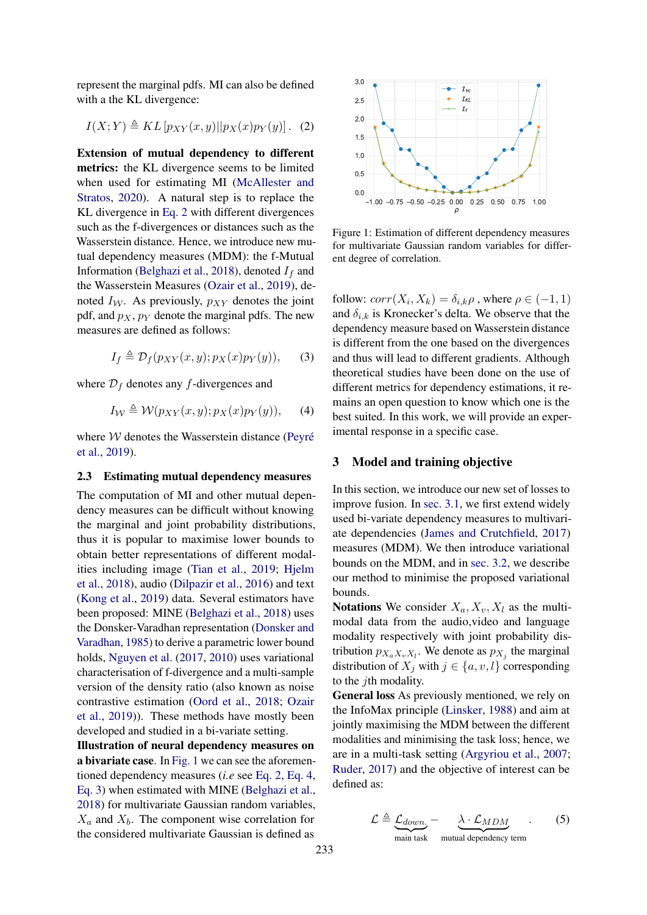represent the marginal pdfs. MI can also be defined with a the KL divergence:

<span id="page-2-1"></span>
$$
I(X;Y) \triangleq KL[p_{XY}(x,y)||p_X(x)p_Y(y)]. \quad (2)
$$

Extension of mutual dependency to different metrics: the KL divergence seems to be limited when used for estimating MI [\(McAllester and](#page-9-11) [Stratos,](#page-9-11) [2020\)](#page-9-11). A natural step is to replace the KL divergence in [Eq. 2](#page-2-1) with different divergences such as the f-divergences or distances such as the Wasserstein distance. Hence, we introduce new mutual dependency measures (MDM): the f-Mutual Information [\(Belghazi et al.,](#page-8-2) [2018\)](#page-8-2), denoted  $I_f$  and the Wasserstein Measures [\(Ozair et al.,](#page-9-8) [2019\)](#page-9-8), denoted  $I_W$ . As previously,  $p_{XY}$  denotes the joint pdf, and  $p_X$ ,  $p_Y$  denote the marginal pdfs. The new measures are defined as follows:

$$
I_f \triangleq \mathcal{D}_f(p_{XY}(x,y); p_X(x)p_Y(y)), \quad (3)
$$

where  $\mathcal{D}_f$  denotes any f-divergences and

$$
I_{\mathcal{W}} \triangleq \mathcal{W}(p_{XY}(x,y); p_X(x)p_Y(y)), \quad (4)
$$

where  $W$  denotes the Wasserstein distance [\(Peyré](#page-9-12) [et al.,](#page-9-12) [2019\)](#page-9-12).

#### <span id="page-2-0"></span>2.3 Estimating mutual dependency measures

The computation of MI and other mutual dependency measures can be difficult without knowing the marginal and joint probability distributions, thus it is popular to maximise lower bounds to obtain better representations of different modalities including image [\(Tian et al.,](#page-10-11) [2019;](#page-10-11) [Hjelm](#page-9-13) [et al.,](#page-9-13) [2018\)](#page-9-13), audio [\(Dilpazir et al.,](#page-8-3) [2016\)](#page-8-3) and text [\(Kong et al.,](#page-9-14) [2019\)](#page-9-14) data. Several estimators have been proposed: MINE [\(Belghazi et al.,](#page-8-2) [2018\)](#page-8-2) uses the Donsker-Varadhan representation [\(Donsker and](#page-9-15) [Varadhan,](#page-9-15) [1985\)](#page-9-15) to derive a parametric lower bound holds, [Nguyen et al.](#page-9-16) [\(2017,](#page-9-16) [2010\)](#page-9-17) uses variational characterisation of f-divergence and a multi-sample version of the density ratio (also known as noise contrastive estimation [\(Oord et al.,](#page-9-18) [2018;](#page-9-18) [Ozair](#page-9-8) [et al.,](#page-9-8) [2019\)](#page-9-8)). These methods have mostly been developed and studied in a bi-variate setting.

Illustration of neural dependency measures on a bivariate case. In [Fig. 1](#page-2-2) we can see the aforementioned dependency measures (*i.e* see [Eq. 2,](#page-2-1) [Eq. 4,](#page-2-3) [Eq. 3\)](#page-2-4) when estimated with MINE [\(Belghazi et al.,](#page-8-2) [2018\)](#page-8-2) for multivariate Gaussian random variables,  $X_a$  and  $X_b$ . The component wise correlation for the considered multivariate Gaussian is defined as

<span id="page-2-2"></span>

Figure 1: Estimation of different dependency measures for multivariate Gaussian random variables for different degree of correlation.

<span id="page-2-4"></span><span id="page-2-3"></span>follow:  $corr(X_i, X_k) = \delta_{i,k} \rho$ , where  $\rho \in (-1, 1)$ and  $\delta_{i,k}$  is Kronecker's delta. We observe that the dependency measure based on Wasserstein distance is different from the one based on the divergences and thus will lead to different gradients. Although theoretical studies have been done on the use of different metrics for dependency estimations, it remains an open question to know which one is the best suited. In this work, we will provide an experimental response in a specific case.

### <span id="page-2-6"></span>3 Model and training objective

In this section, we introduce our new set of losses to improve fusion. In [sec. 3.1,](#page-3-0) we first extend widely used bi-variate dependency measures to multivariate dependencies [\(James and Crutchfield,](#page-9-19) [2017\)](#page-9-19) measures (MDM). We then introduce variational bounds on the MDM, and in [sec. 3.2,](#page-3-1) we describe our method to minimise the proposed variational bounds.

Notations We consider  $X_a, X_v, X_l$  as the multimodal data from the audio,video and language modality respectively with joint probability distribution  $p_{X_a X_v X_l}$ . We denote as  $p_{X_j}$  the marginal distribution of  $X_j$  with  $j \in \{a, v, l\}$  corresponding to the *j*th modality.

General loss As previously mentioned, we rely on the InfoMax principle [\(Linsker,](#page-9-7) [1988\)](#page-9-7) and aim at jointly maximising the MDM between the different modalities and minimising the task loss; hence, we are in a multi-task setting [\(Argyriou et al.,](#page-8-4) [2007;](#page-8-4) [Ruder,](#page-10-12) [2017\)](#page-10-12) and the objective of interest can be defined as:

<span id="page-2-5"></span>
$$
\mathcal{L} \triangleq \underbrace{\mathcal{L}_{down}}_{\text{main task}} - \underbrace{\lambda \cdot \mathcal{L}_{MDM}}_{\text{mutual dependency term}}.
$$
 (5)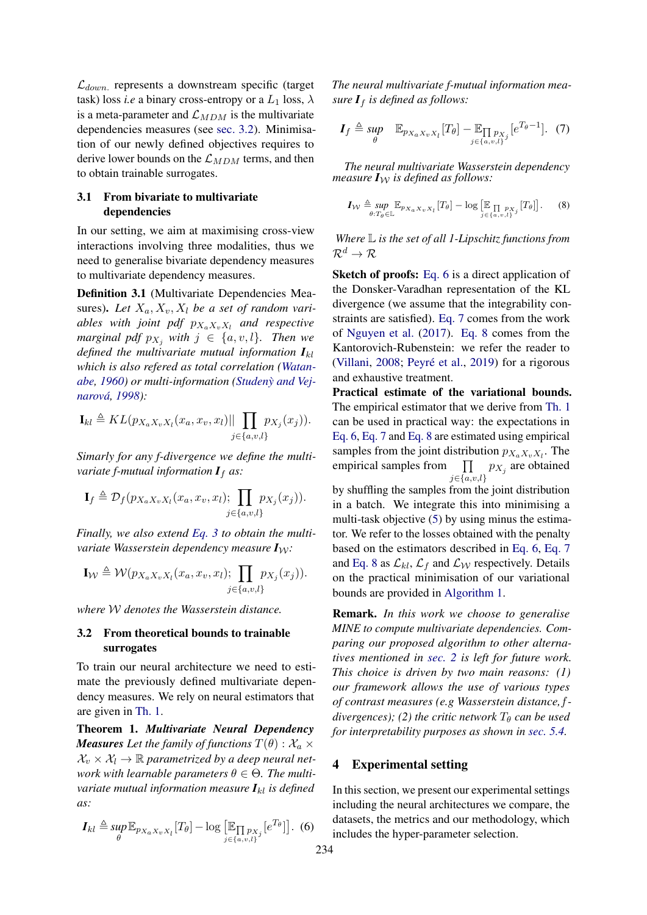$\mathcal{L}_{down}$  represents a downstream specific (target task) loss *i.e* a binary cross-entropy or a  $L_1$  loss,  $\lambda$ is a meta-parameter and  $\mathcal{L}_{MDM}$  is the multivariate dependencies measures (see [sec. 3.2\)](#page-3-1). Minimisation of our newly defined objectives requires to derive lower bounds on the  $\mathcal{L}_{MDM}$  terms, and then to obtain trainable surrogates.

# <span id="page-3-0"></span>3.1 From bivariate to multivariate dependencies

In our setting, we aim at maximising cross-view interactions involving three modalities, thus we need to generalise bivariate dependency measures to multivariate dependency measures.

Definition 3.1 (Multivariate Dependencies Measures). Let  $X_a, X_v, X_l$  be a set of random vari $ables$  with joint pdf  $p_{X_aX_vX_l}$  and respective *marginal pdf*  $p_{X_i}$  *with*  $j \in \{a, v, l\}$ *. Then we defined the multivariate mutual information*  $I_{kl}$ *which is also refered as total correlation [\(Watan](#page-10-10)[abe,](#page-10-10) [1960\)](#page-10-10) or multi-information [\(Studeny and Vej-](#page-10-13) ` [narová,](#page-10-13) [1998\)](#page-10-13):*

$$
\mathbf{I}_{kl} \triangleq KL(p_{X_a X_v X_l}(x_a, x_v, x_l)|| \prod_{j \in \{a, v, l\}} p_{X_j}(x_j)).
$$

*Simarly for any f-divergence we define the multivariate f-mutual information*  $I_f$  *as:* 

$$
\mathbf{I}_f \triangleq \mathcal{D}_f(p_{X_a X_v X_l}(x_a, x_v, x_l); \prod_{j \in \{a, v, l\}} p_{X_j}(x_j)).
$$

*Finally, we also extend [Eq. 3](#page-2-4) to obtain the multivariate Wasserstein dependency measure*  $I_W$ :

$$
\mathbf{I}_{\mathcal{W}} \triangleq \mathcal{W}(p_{X_a X_v X_l}(x_a, x_v, x_l); \prod_{j \in \{a, v, l\}} p_{X_j}(x_j)).
$$

*where* W *denotes the Wasserstein distance.*

### <span id="page-3-1"></span>3.2 From theoretical bounds to trainable surrogates

To train our neural architecture we need to estimate the previously defined multivariate dependency measures. We rely on neural estimators that are given in [Th. 1.](#page-3-2)

<span id="page-3-2"></span>Theorem 1. *Multivariate Neural Dependency Measures* Let the family of functions  $T(\theta)$ :  $\mathcal{X}_a$   $\times$  $\mathcal{X}_v \times \mathcal{X}_l \to \mathbb{R}$  parametrized by a deep neural net*work with learnable parameters*  $\theta \in \Theta$ *. The multivariate mutual information measure*  $I_{kl}$  *is defined as:*

<span id="page-3-3"></span>
$$
\boldsymbol{I}_{kl} \triangleq \sup_{\theta} \mathbb{E}_{p_{X_a X_v X_l}} [T_{\theta}] - \log \left[ \mathbb{E}_{\prod_{j \in \{a, v, l\}} p_{X_j}} [e^{T_{\theta}}] \right].
$$
 (6)

*The neural multivariate f-mutual information measure*  $I_f$  *is defined as follows:* 

<span id="page-3-4"></span>
$$
\boldsymbol{I}_f \triangleq \underset{\boldsymbol{\theta}}{\text{sup}} \quad \mathbb{E}_{p_{X_a X_v X_l}}[T_{\boldsymbol{\theta}}] - \mathbb{E}_{\prod_{j \in \{a, v, l\}} p_{X_j}}[e^{T_{\boldsymbol{\theta}}-1}]. \tag{7}
$$

*The neural multivariate Wasserstein dependency measure*  $I_W$  *is defined as follows:* 

<span id="page-3-5"></span>
$$
I_{\mathcal{W}} \triangleq \sup_{\theta:T_{\theta}\in\mathbb{L}} \mathbb{E}_{p_{X_a X_v X_l}}[T_{\theta}] - \log \left[\mathbb{E} \prod_{j\in\{a,v,l\}} p_{X_j}} [T_{\theta}]\right].
$$
 (8)

*Where* L *is the set of all 1-Lipschitz functions from*  $\mathcal{R}^d \to \mathcal{R}$ 

Sketch of proofs: [Eq. 6](#page-3-3) is a direct application of the Donsker-Varadhan representation of the KL divergence (we assume that the integrability constraints are satisfied). [Eq. 7](#page-3-4) comes from the work of [Nguyen et al.](#page-9-16) [\(2017\)](#page-9-16). [Eq. 8](#page-3-5) comes from the Kantorovich-Rubenstein: we refer the reader to [\(Villani,](#page-10-14) [2008;](#page-10-14) [Peyré et al.,](#page-9-12) [2019\)](#page-9-12) for a rigorous and exhaustive treatment.

Practical estimate of the variational bounds. The empirical estimator that we derive from [Th. 1](#page-3-2) can be used in practical way: the expectations in [Eq. 6,](#page-3-3) [Eq. 7](#page-3-4) and [Eq. 8](#page-3-5) are estimated using empirical samples from the joint distribution  $p_{X_a X_v X_l}$ . The empirical samples from  $j \in \{a, v, l\}$  $p_{X_j}$  are obtained

by shuffling the samples from the joint distribution in a batch. We integrate this into minimising a multi-task objective [\(5\)](#page-2-5) by using minus the estimator. We refer to the losses obtained with the penalty based on the estimators described in [Eq. 6,](#page-3-3) [Eq. 7](#page-3-4) and [Eq. 8](#page-3-5) as  $\mathcal{L}_{kl}$ ,  $\mathcal{L}_f$  and  $\mathcal{L}_{\mathcal{W}}$  respectively. Details on the practical minimisation of our variational bounds are provided in [Algorithm 1.](#page-4-0)

Remark. *In this work we choose to generalise MINE to compute multivariate dependencies. Comparing our proposed algorithm to other alternatives mentioned in [sec. 2](#page-1-2) is left for future work. This choice is driven by two main reasons: (1) our framework allows the use of various types of contrast measures (e.g Wasserstein distance,*f*divergences); (2) the critic network*  $T_{\theta}$  *can be used for interpretability purposes as shown in [sec. 5.4.](#page-7-0)*

# <span id="page-3-6"></span>4 Experimental setting

In this section, we present our experimental settings including the neural architectures we compare, the datasets, the metrics and our methodology, which includes the hyper-parameter selection.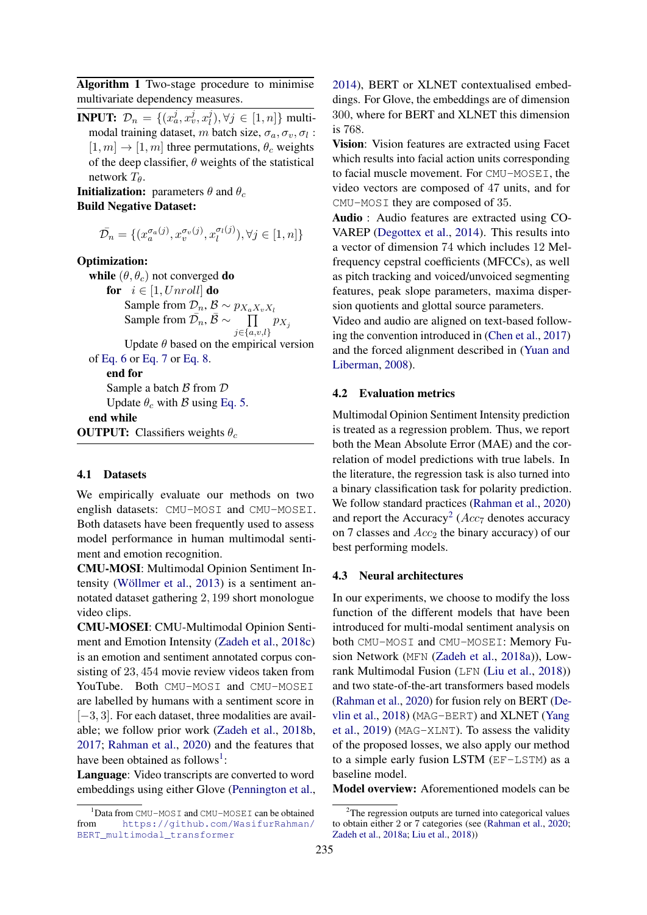<span id="page-4-0"></span>Algorithm 1 Two-stage procedure to minimise multivariate dependency measures.

**INPUT:**  $\mathcal{D}_n = \{(x_a^j, x_v^j, x_l^j)\}$  $\{l\}$ ,  $\forall j \in [1, n]$ } multimodal training dataset, m batch size,  $\sigma_a$ ,  $\sigma_v$ ,  $\sigma_l$ :  $[1, m] \rightarrow [1, m]$  three permutations,  $\theta_c$  weights of the deep classifier,  $\theta$  weights of the statistical network  $T_{\theta}$ .

**Initialization:** parameters  $\theta$  and  $\theta_c$ Build Negative Dataset:

$$
\bar{\mathcal{D}_n} = \{ (x_a^{\sigma_a(j)}, x_v^{\sigma_v(j)}, x_l^{\sigma_l(j)}), \forall j \in [1, n] \}
$$

Optimization:

while  $(\theta, \theta_c)$  not converged do for  $i \in [1, Unroll]$  do Sample from  $\mathcal{D}_n$ ,  $\mathcal{B} \sim p_{X_a X_v X_l}$ Sample from  $\bar{\mathcal{D}_n}$ ,  $\bar{\mathcal{B}} \sim \bar{\mathcal{I}}$  $j \in \{a, v, l\}$  $p_{X_j}$ Update  $\theta$  based on the empirical version of [Eq. 6](#page-3-3) or [Eq. 7](#page-3-4) or [Eq. 8.](#page-3-5) end for Sample a batch  $\beta$  from  $\mathcal D$ Update  $\theta_c$  with B using [Eq. 5.](#page-2-5) end while

**OUTPUT:** Classifiers weights  $\theta_c$ 

#### 4.1 Datasets

We empirically evaluate our methods on two english datasets: CMU-MOSI and CMU-MOSEI. Both datasets have been frequently used to assess model performance in human multimodal sentiment and emotion recognition.

CMU-MOSI: Multimodal Opinion Sentiment Intensity [\(Wöllmer et al.,](#page-10-7) [2013\)](#page-10-7) is a sentiment annotated dataset gathering 2, 199 short monologue video clips.

CMU-MOSEI: CMU-Multimodal Opinion Sentiment and Emotion Intensity [\(Zadeh et al.,](#page-11-1) [2018c\)](#page-11-1) is an emotion and sentiment annotated corpus consisting of 23, 454 movie review videos taken from YouTube. Both CMU-MOSI and CMU-MOSEI are labelled by humans with a sentiment score in  $[-3, 3]$ . For each dataset, three modalities are available; we follow prior work [\(Zadeh et al.,](#page-11-0) [2018b,](#page-11-0) [2017;](#page-10-4) [Rahman et al.,](#page-10-2) [2020\)](#page-10-2) and the features that have been obtained as follows<sup>[1](#page-4-1)</sup>:

Language: Video transcripts are converted to word embeddings using either Glove [\(Pennington et al.,](#page-9-20)

[2014\)](#page-9-20), BERT or XLNET contextualised embeddings. For Glove, the embeddings are of dimension 300, where for BERT and XLNET this dimension is 768.

Vision: Vision features are extracted using Facet which results into facial action units corresponding to facial muscle movement. For CMU-MOSEI, the video vectors are composed of 47 units, and for CMU-MOSI they are composed of 35.

Audio : Audio features are extracted using CO-VAREP [\(Degottex et al.,](#page-8-5) [2014\)](#page-8-5). This results into a vector of dimension 74 which includes 12 Melfrequency cepstral coefficients (MFCCs), as well as pitch tracking and voiced/unvoiced segmenting features, peak slope parameters, maxima dispersion quotients and glottal source parameters.

Video and audio are aligned on text-based following the convention introduced in [\(Chen et al.,](#page-8-6) [2017\)](#page-8-6) and the forced alignment described in [\(Yuan and](#page-10-15) [Liberman,](#page-10-15) [2008\)](#page-10-15).

### 4.2 Evaluation metrics

Multimodal Opinion Sentiment Intensity prediction is treated as a regression problem. Thus, we report both the Mean Absolute Error (MAE) and the correlation of model predictions with true labels. In the literature, the regression task is also turned into a binary classification task for polarity prediction. We follow standard practices [\(Rahman et al.,](#page-10-2) [2020\)](#page-10-2) and report the Accuracy<sup>[2](#page-4-2)</sup> ( $Acc<sub>7</sub>$  denotes accuracy on 7 classes and  $Acc_2$  the binary accuracy) of our best performing models.

### 4.3 Neural architectures

In our experiments, we choose to modify the loss function of the different models that have been introduced for multi-modal sentiment analysis on both CMU-MOSI and CMU-MOSEI: Memory Fusion Network (MFN [\(Zadeh et al.,](#page-11-3) [2018a\)](#page-11-3)), Lowrank Multimodal Fusion (LFN [\(Liu et al.,](#page-9-3) [2018\)](#page-9-3)) and two state-of-the-art transformers based models [\(Rahman et al.,](#page-10-2) [2020\)](#page-10-2) for fusion rely on BERT [\(De](#page-8-7)[vlin et al.,](#page-8-7) [2018\)](#page-8-7) (MAG-BERT) and XLNET [\(Yang](#page-10-16) [et al.,](#page-10-16) [2019\)](#page-10-16) (MAG-XLNT). To assess the validity of the proposed losses, we also apply our method to a simple early fusion LSTM (EF-LSTM) as a baseline model.

Model overview: Aforementioned models can be

<span id="page-4-1"></span><sup>1</sup>Data from CMU-MOSI and CMU-MOSEI can be obtained from [https://github.com/WasifurRahman/](https://github.com/WasifurRahman/BERT_multimodal_transformer) [BERT\\_multimodal\\_transformer](https://github.com/WasifurRahman/BERT_multimodal_transformer)

<span id="page-4-2"></span> $2$ The regression outputs are turned into categorical values to obtain either 2 or 7 categories (see [\(Rahman et al.,](#page-10-2) [2020;](#page-10-2) [Zadeh et al.,](#page-11-3) [2018a;](#page-11-3) [Liu et al.,](#page-9-3) [2018\)](#page-9-3))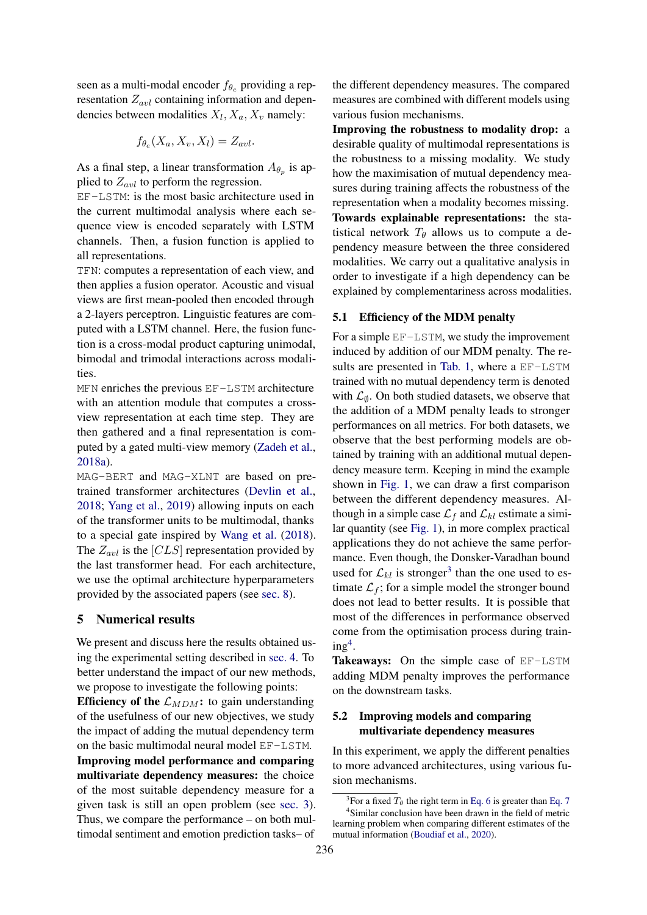seen as a multi-modal encoder  $f_{\theta_e}$  providing a representation  $Z_{avl}$  containing information and dependencies between modalities  $X_l, X_a, X_v$  namely:

$$
f_{\theta_e}(X_a, X_v, X_l) = Z_{avl}.
$$

As a final step, a linear transformation  $A_{\theta_p}$  is applied to  $Z_{avl}$  to perform the regression.

EF-LSTM: is the most basic architecture used in the current multimodal analysis where each sequence view is encoded separately with LSTM channels. Then, a fusion function is applied to all representations.

TFN: computes a representation of each view, and then applies a fusion operator. Acoustic and visual views are first mean-pooled then encoded through a 2-layers perceptron. Linguistic features are computed with a LSTM channel. Here, the fusion function is a cross-modal product capturing unimodal, bimodal and trimodal interactions across modalities.

MFN enriches the previous EF-LSTM architecture with an attention module that computes a crossview representation at each time step. They are then gathered and a final representation is computed by a gated multi-view memory [\(Zadeh et al.,](#page-11-3) [2018a\)](#page-11-3).

MAG-BERT and MAG-XLNT are based on pretrained transformer architectures [\(Devlin et al.,](#page-8-7) [2018;](#page-8-7) [Yang et al.,](#page-10-16) [2019\)](#page-10-16) allowing inputs on each of the transformer units to be multimodal, thanks to a special gate inspired by [Wang et al.](#page-10-17) [\(2018\)](#page-10-17). The  $Z_{avl}$  is the [CLS] representation provided by the last transformer head. For each architecture, we use the optimal architecture hyperparameters provided by the associated papers (see [sec. 8\)](#page-12-0).

# 5 Numerical results

We present and discuss here the results obtained using the experimental setting described in [sec. 4.](#page-3-6) To better understand the impact of our new methods, we propose to investigate the following points: Efficiency of the  $\mathcal{L}_{MDM}$ : to gain understanding

of the usefulness of our new objectives, we study the impact of adding the mutual dependency term on the basic multimodal neural model EF-LSTM. Improving model performance and comparing multivariate dependency measures: the choice of the most suitable dependency measure for a given task is still an open problem (see [sec. 3\)](#page-2-6). Thus, we compare the performance – on both multimodal sentiment and emotion prediction tasks– of

the different dependency measures. The compared measures are combined with different models using various fusion mechanisms.

Improving the robustness to modality drop: a desirable quality of multimodal representations is the robustness to a missing modality. We study how the maximisation of mutual dependency measures during training affects the robustness of the representation when a modality becomes missing. Towards explainable representations: the statistical network  $T_{\theta}$  allows us to compute a dependency measure between the three considered modalities. We carry out a qualitative analysis in order to investigate if a high dependency can be explained by complementariness across modalities.

### <span id="page-5-0"></span>5.1 Efficiency of the MDM penalty

For a simple EF-LSTM, we study the improvement induced by addition of our MDM penalty. The results are presented in [Tab. 1,](#page-6-1) where a EF-LSTM trained with no mutual dependency term is denoted with  $\mathcal{L}_{\emptyset}$ . On both studied datasets, we observe that the addition of a MDM penalty leads to stronger performances on all metrics. For both datasets, we observe that the best performing models are obtained by training with an additional mutual dependency measure term. Keeping in mind the example shown in [Fig. 1,](#page-2-2) we can draw a first comparison between the different dependency measures. Although in a simple case  $\mathcal{L}_f$  and  $\mathcal{L}_{kl}$  estimate a similar quantity (see [Fig. 1\)](#page-2-2), in more complex practical applications they do not achieve the same performance. Even though, the Donsker-Varadhan bound used for  $\mathcal{L}_{kl}$  is stronger<sup>[3](#page-5-1)</sup> than the one used to estimate  $\mathcal{L}_f$ ; for a simple model the stronger bound does not lead to better results. It is possible that most of the differences in performance observed come from the optimisation process during train- $ing<sup>4</sup>$  $ing<sup>4</sup>$  $ing<sup>4</sup>$ .

Takeaways: On the simple case of EF-LSTM adding MDM penalty improves the performance on the downstream tasks.

# 5.2 Improving models and comparing multivariate dependency measures

In this experiment, we apply the different penalties to more advanced architectures, using various fusion mechanisms.

<span id="page-5-2"></span><span id="page-5-1"></span><sup>&</sup>lt;sup>3</sup>For a fixed  $T_\theta$  the right term in [Eq. 6](#page-3-3) is greater than [Eq. 7](#page-3-4) 4 Similar conclusion have been drawn in the field of metric learning problem when comparing different estimates of the mutual information [\(Boudiaf et al.,](#page-8-8) [2020\)](#page-8-8).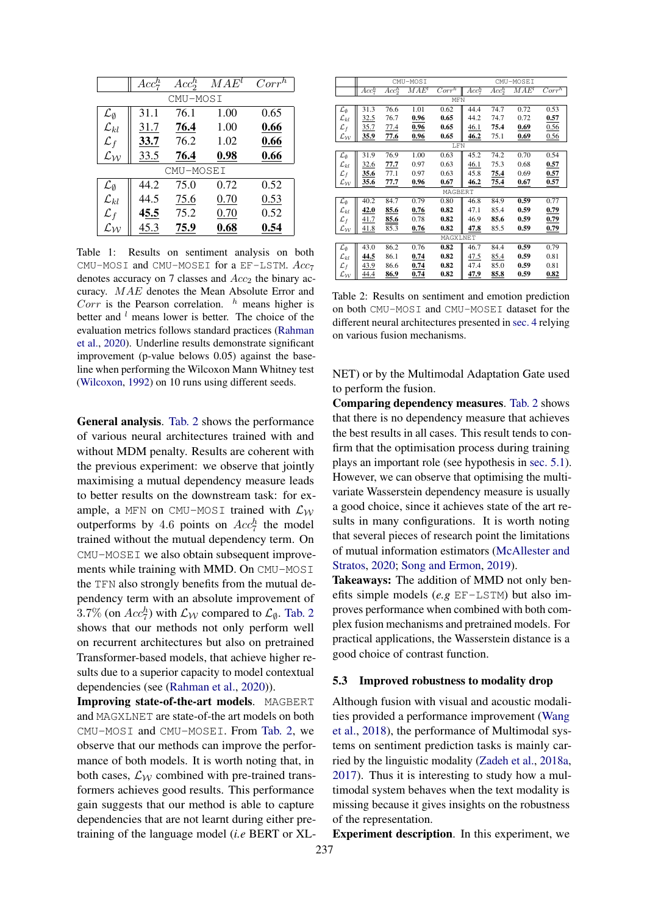<span id="page-6-1"></span>

|                             | $Acc^h_7$ | Acc <sub>2</sub> <sup>h</sup> | $MAE^l$ | Corr <sup>h</sup> |  |  |
|-----------------------------|-----------|-------------------------------|---------|-------------------|--|--|
|                             | CMU-MOSI  |                               |         |                   |  |  |
| $\mathcal{L}_{\emptyset}$   | 31.1      | 76.1                          | 1.00    | 0.65              |  |  |
| $\mathcal{L}_{kl}$          | 31.7      | 76.4                          | 1.00    | 0.66              |  |  |
| $\mathcal{L}_f$             | 33.7      | 76.2                          | 1.02    | 0.66              |  |  |
| $\mathcal{L}_{\mathcal{W}}$ | 33.5      | 76.4                          | 0.98    | 0.66              |  |  |
| CMU-MOSEI                   |           |                               |         |                   |  |  |
| $\mathcal{L}_{\emptyset}$   | 44.2      | 75.0                          | 0.72    | 0.52              |  |  |
| $\mathcal{L}_{kl}$          | 44.5      | 75.6                          | 0.70    | 0.53              |  |  |
| $\mathcal{L}_f$             | 45.5      | 75.2                          | 0.70    | 0.52              |  |  |
| $\mathcal{L}_{\mathcal{W}}$ | 45.3      | 75.9                          | 0.68    | 0.54              |  |  |

Table 1: Results on sentiment analysis on both CMU-MOSI and CMU-MOSEI for a EF-LSTM.  $Acc<sub>7</sub>$ denotes accuracy on 7 classes and  $Acc<sub>2</sub>$  the binary accuracy. MAE denotes the Mean Absolute Error and Corr is the Pearson correlation.  $h$  means higher is better and  $l$  means lower is better. The choice of the evaluation metrics follows standard practices [\(Rahman](#page-10-2) [et al.,](#page-10-2) [2020\)](#page-10-2). Underline results demonstrate significant improvement (p-value belows 0.05) against the baseline when performing the Wilcoxon Mann Whitney test [\(Wilcoxon,](#page-10-18) [1992\)](#page-10-18) on 10 runs using different seeds.

General analysis. [Tab. 2](#page-6-2) shows the performance of various neural architectures trained with and without MDM penalty. Results are coherent with the previous experiment: we observe that jointly maximising a mutual dependency measure leads to better results on the downstream task: for example, a MFN on CMU-MOSI trained with  $\mathcal{L}_{\mathcal{W}}$ outperforms by 4.6 points on  $Acc<sub>7</sub><sup>h</sup>$  the model trained without the mutual dependency term. On CMU-MOSEI we also obtain subsequent improvements while training with MMD. On CMU-MOSI the TFN also strongly benefits from the mutual dependency term with an absolute improvement of 3.7% (on  $Acc^h_7$ ) with  $\mathcal{L}_{\mathcal{W}}$  compared to  $\mathcal{L}_{\emptyset}$ . [Tab. 2](#page-6-2) shows that our methods not only perform well on recurrent architectures but also on pretrained Transformer-based models, that achieve higher results due to a superior capacity to model contextual dependencies (see [\(Rahman et al.,](#page-10-2) [2020\)](#page-10-2)).

Improving state-of-the-art models. MAGBERT and MAGXLNET are state-of-the art models on both CMU-MOSI and CMU-MOSEI. From [Tab. 2,](#page-6-2) we observe that our methods can improve the performance of both models. It is worth noting that, in both cases,  $\mathcal{L}_{\mathcal{W}}$  combined with pre-trained transformers achieves good results. This performance gain suggests that our method is able to capture dependencies that are not learnt during either pretraining of the language model (*i.e* BERT or XL-

<span id="page-6-2"></span>

|                             | CMU-MOSI    |             |         |                   |           | CMU-MOSEI |         |          |
|-----------------------------|-------------|-------------|---------|-------------------|-----------|-----------|---------|----------|
|                             | $Acc^h_7$   | $Acc^h_2$   | $MAE^l$ | Corr <sup>h</sup> | $Acc^h_7$ | $Acc^h_2$ | $MAE^l$ | $Corr^h$ |
|                             | MFN         |             |         |                   |           |           |         |          |
| $\mathcal{L}_{\emptyset}$   | 31.3        | 76.6        | 1.01    | 0.62              | 44.4      | 74.7      | 0.72    | 0.53     |
| $\mathcal{L}_{kl}$          | <u>32.5</u> | 76.7        | 0.96    | 0.65              | 44.2      | 74.7      | 0.72    | 0.57     |
| $\mathcal{L}_f$             | 35.7        | 77.4        | 0.96    | 0.65              | 46.1      | 75.4      | 0.69    | 0.56     |
| $\mathcal{L}_{\mathcal{W}}$ | <u>35.9</u> | <u>77.6</u> | 0.96    | 0.65              | 46.2      | 75.1      | 0.69    | 0.56     |
| LFN                         |             |             |         |                   |           |           |         |          |
| $\mathcal{L}_{\emptyset}$   | 31.9        | 76.9        | 1.00    | 0.63              | 45.2      | 74.2      | 0.70    | 0.54     |
| $\mathcal{L}_{kl}$          | 32.6        | 77.7        | 0.97    | 0.63              | 46.1      | 75.3      | 0.68    | 0.57     |
| $\mathcal{L}_f$             | 35.6        | 77.1        | 0.97    | 0.63              | 45.8      | 75.4      | 0.69    | 0.57     |
| $\mathcal{L}_{\mathcal{W}}$ | 35.6        | 77.7        | 0.96    | 0.67              | 46.2      | 75.4      | 0.67    | 0.57     |
| MAGBERT                     |             |             |         |                   |           |           |         |          |
| $\mathcal{L}_{\emptyset}$   | 40.2        | 84.7        | 0.79    | 0.80              | 46.8      | 84.9      | 0.59    | 0.77     |
| $\mathcal{L}_{kl}$          | 42.0        | 85.6        | 0.76    | 0.82              | 47.1      | 85.4      | 0.59    | 0.79     |
| $\mathcal{L}_f$             | 41.7        | 85.6        | 0.78    | 0.82              | 46.9      | 85.6      | 0.59    | 0.79     |
| $\mathcal{L}_{\mathcal{W}}$ | 41.8        | 85.3        | 0.76    | 0.82              | 47.8      | 85.5      | 0.59    | 0.79     |
| MAGXLNET                    |             |             |         |                   |           |           |         |          |
| $\mathcal{L}_{\emptyset}$   | 43.0        | 86.2        | 0.76    | 0.82              | 46.7      | 84.4      | 0.59    | 0.79     |
| $\mathcal{L}_{kl}$          | 44.5        | 86.1        | 0.74    | 0.82              | 47.5      | 85.4      | 0.59    | 0.81     |
| $\mathcal{L}_f$             | 43.9        | 86.6        | 0.74    | 0.82              | 47.4      | 85.0      | 0.59    | 0.81     |
| $\mathcal{L}_{\mathcal{W}}$ | 44.4        | 86.9        | 0.74    | 0.82              | 47.9      | 85.8      | 0.59    | 0.82     |

Table 2: Results on sentiment and emotion prediction on both CMU-MOSI and CMU-MOSEI dataset for the different neural architectures presented in [sec. 4](#page-3-6) relying on various fusion mechanisms.

NET) or by the Multimodal Adaptation Gate used to perform the fusion.

Comparing dependency measures. [Tab. 2](#page-6-2) shows that there is no dependency measure that achieves the best results in all cases. This result tends to confirm that the optimisation process during training plays an important role (see hypothesis in [sec. 5.1\)](#page-5-0). However, we can observe that optimising the multivariate Wasserstein dependency measure is usually a good choice, since it achieves state of the art results in many configurations. It is worth noting that several pieces of research point the limitations of mutual information estimators [\(McAllester and](#page-9-11) [Stratos,](#page-9-11) [2020;](#page-9-11) [Song and Ermon,](#page-10-19) [2019\)](#page-10-19).

Takeaways: The addition of MMD not only benefits simple models (*e.g* EF-LSTM) but also improves performance when combined with both complex fusion mechanisms and pretrained models. For practical applications, the Wasserstein distance is a good choice of contrast function.

#### <span id="page-6-0"></span>5.3 Improved robustness to modality drop

Although fusion with visual and acoustic modalities provided a performance improvement [\(Wang](#page-10-17) [et al.,](#page-10-17) [2018\)](#page-10-17), the performance of Multimodal systems on sentiment prediction tasks is mainly carried by the linguistic modality [\(Zadeh et al.,](#page-11-3) [2018a,](#page-11-3) [2017\)](#page-10-4). Thus it is interesting to study how a multimodal system behaves when the text modality is missing because it gives insights on the robustness of the representation.

Experiment description. In this experiment, we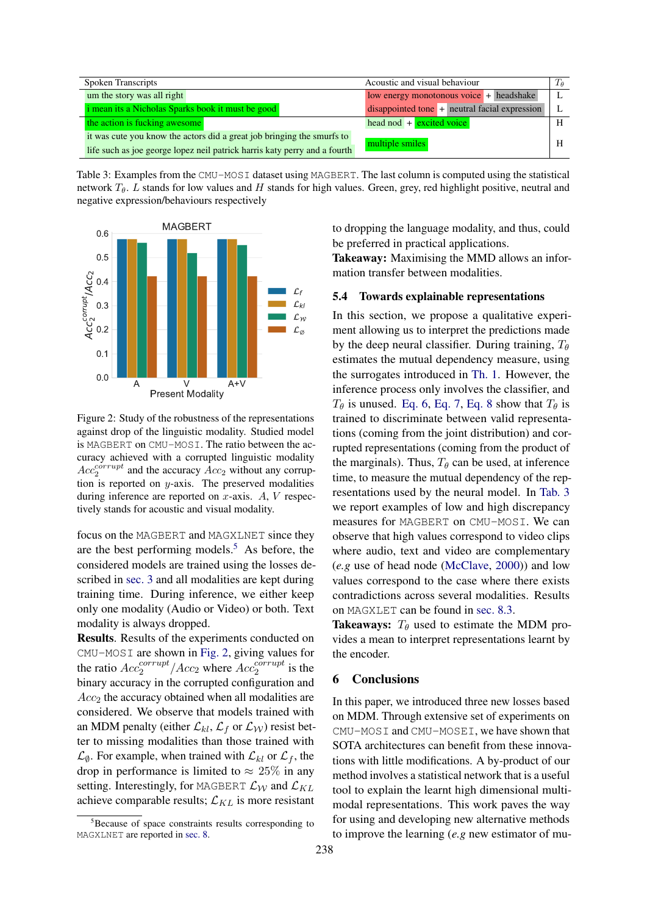<span id="page-7-3"></span>

| Spoken Transcripts                                                                                                                                  | Acoustic and visual behaviour                   |  |
|-----------------------------------------------------------------------------------------------------------------------------------------------------|-------------------------------------------------|--|
| um the story was all right                                                                                                                          | low energy monotonous voice + headshake         |  |
| <i>i</i> mean its a Nicholas Sparks book it must be good                                                                                            | $disappointed tone + neutral facial expression$ |  |
| the action is fucking awesome                                                                                                                       | head nod $+$ excited voice                      |  |
| it was cute you know the actors did a great job bringing the smurfs to<br>life such as joe george lopez neil patrick harris katy perry and a fourth | multiple smiles                                 |  |

Table 3: Examples from the CMU-MOSI dataset using MAGBERT. The last column is computed using the statistical network  $T_{\theta}$ . L stands for low values and H stands for high values. Green, grey, red highlight positive, neutral and negative expression/behaviours respectively

<span id="page-7-2"></span>

Figure 2: Study of the robustness of the representations against drop of the linguistic modality. Studied model is MAGBERT on CMU-MOSI. The ratio between the accuracy achieved with a corrupted linguistic modality  $Acc_2^{corrupt}$  and the accuracy  $Acc_2$  without any corruption is reported on  $y$ -axis. The preserved modalities during inference are reported on  $x$ -axis.  $A$ ,  $V$  respectively stands for acoustic and visual modality.

focus on the MAGBERT and MAGXLNET since they are the best performing models.<sup>[5](#page-7-1)</sup> As before, the considered models are trained using the losses described in [sec. 3](#page-2-6) and all modalities are kept during training time. During inference, we either keep only one modality (Audio or Video) or both. Text modality is always dropped.

Results. Results of the experiments conducted on CMU-MOSI are shown in [Fig. 2,](#page-7-2) giving values for the ratio  $Acc_2^{corrupt}/Acc_2$  where  $Acc_2^{corrupt}$  is the binary accuracy in the corrupted configuration and  $Acc<sub>2</sub>$  the accuracy obtained when all modalities are considered. We observe that models trained with an MDM penalty (either  $\mathcal{L}_{kl}$ ,  $\mathcal{L}_f$  or  $\mathcal{L}_W$ ) resist better to missing modalities than those trained with  $\mathcal{L}_{\emptyset}$ . For example, when trained with  $\mathcal{L}_{kl}$  or  $\mathcal{L}_f$ , the drop in performance is limited to  $\approx 25\%$  in any setting. Interestingly, for MAGBERT  $\mathcal{L}_W$  and  $\mathcal{L}_{KL}$ achieve comparable results;  $\mathcal{L}_{KL}$  is more resistant

to dropping the language modality, and thus, could be preferred in practical applications.

Takeaway: Maximising the MMD allows an information transfer between modalities.

### <span id="page-7-0"></span>5.4 Towards explainable representations

In this section, we propose a qualitative experiment allowing us to interpret the predictions made by the deep neural classifier. During training,  $T_{\theta}$ estimates the mutual dependency measure, using the surrogates introduced in [Th. 1.](#page-3-2) However, the inference process only involves the classifier, and  $T_{\theta}$  is unused. [Eq. 6,](#page-3-3) [Eq. 7,](#page-3-4) [Eq. 8](#page-3-5) show that  $T_{\theta}$  is trained to discriminate between valid representations (coming from the joint distribution) and corrupted representations (coming from the product of the marginals). Thus,  $T_{\theta}$  can be used, at inference time, to measure the mutual dependency of the representations used by the neural model. In [Tab. 3](#page-7-3) we report examples of low and high discrepancy measures for MAGBERT on CMU-MOSI. We can observe that high values correspond to video clips where audio, text and video are complementary (*e.g* use of head node [\(McClave,](#page-9-21) [2000\)](#page-9-21)) and low values correspond to the case where there exists contradictions across several modalities. Results on MAGXLET can be found in [sec. 8.3.](#page-12-1)

Takeaways:  $T_{\theta}$  used to estimate the MDM provides a mean to interpret representations learnt by the encoder.

# 6 Conclusions

In this paper, we introduced three new losses based on MDM. Through extensive set of experiments on CMU-MOSI and CMU-MOSEI, we have shown that SOTA architectures can benefit from these innovations with little modifications. A by-product of our method involves a statistical network that is a useful tool to explain the learnt high dimensional multimodal representations. This work paves the way for using and developing new alternative methods to improve the learning (*e.g* new estimator of mu-

<span id="page-7-1"></span><sup>&</sup>lt;sup>5</sup>Because of space constraints results corresponding to MAGXLNET are reported in [sec. 8.](#page-12-0)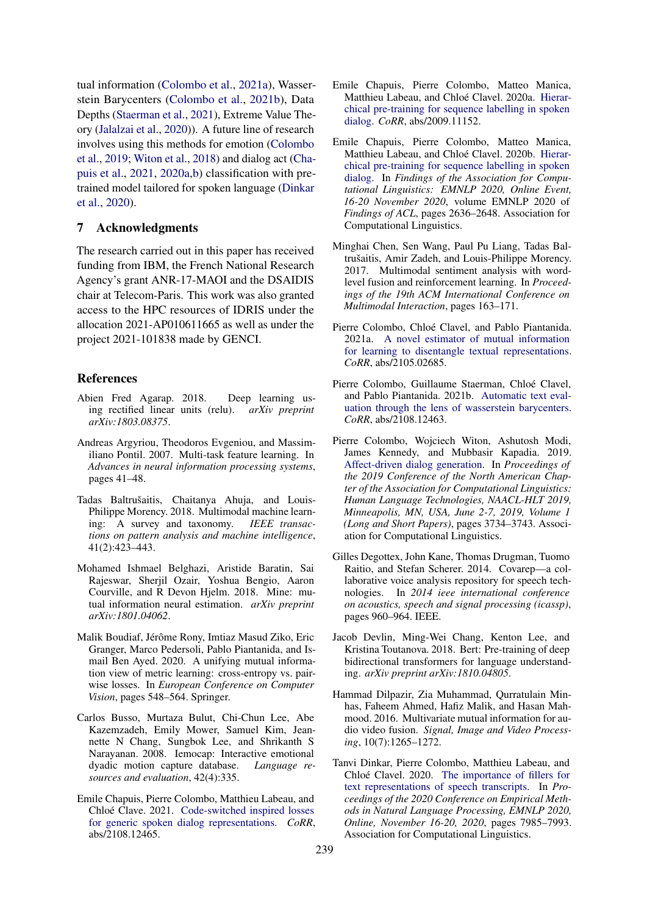tual information [\(Colombo et al.,](#page-8-9) [2021a\)](#page-8-9), Wasserstein Barycenters [\(Colombo et al.,](#page-8-10) [2021b\)](#page-8-10), Data Depths [\(Staerman et al.,](#page-10-20) [2021\)](#page-10-20), Extreme Value Theory [\(Jalalzai et al.,](#page-9-22) [2020\)](#page-9-22)). A future line of research involves using this methods for emotion [\(Colombo](#page-8-11) [et al.,](#page-8-11) [2019;](#page-8-11) [Witon et al.,](#page-10-21) [2018\)](#page-10-21) and dialog act [\(Cha](#page-8-12)[puis et al.,](#page-8-12) [2021,](#page-8-12) [2020a,](#page-8-13)[b\)](#page-8-14) classification with pretrained model tailored for spoken language [\(Dinkar](#page-8-15) [et al.,](#page-8-15) [2020\)](#page-8-15).

### 7 Acknowledgments

The research carried out in this paper has received funding from IBM, the French National Research Agency's grant ANR-17-MAOI and the DSAIDIS chair at Telecom-Paris. This work was also granted access to the HPC resources of IDRIS under the allocation 2021-AP010611665 as well as under the project 2021-101838 made by GENCI.

### **References**

- <span id="page-8-16"></span>Abien Fred Agarap. 2018. Deep learning using rectified linear units (relu). *arXiv preprint arXiv:1803.08375*.
- <span id="page-8-4"></span>Andreas Argyriou, Theodoros Evgeniou, and Massimiliano Pontil. 2007. Multi-task feature learning. In *Advances in neural information processing systems*, pages 41–48.
- <span id="page-8-0"></span>Tadas Baltrušaitis, Chaitanya Ahuja, and Louis-Philippe Morency. 2018. Multimodal machine learning: A survey and taxonomy. *IEEE transactions on pattern analysis and machine intelligence*, 41(2):423–443.
- <span id="page-8-2"></span>Mohamed Ishmael Belghazi, Aristide Baratin, Sai Rajeswar, Sherjil Ozair, Yoshua Bengio, Aaron Courville, and R Devon Hjelm. 2018. Mine: mutual information neural estimation. *arXiv preprint arXiv:1801.04062*.
- <span id="page-8-8"></span>Malik Boudiaf, Jérôme Rony, Imtiaz Masud Ziko, Eric Granger, Marco Pedersoli, Pablo Piantanida, and Ismail Ben Ayed. 2020. A unifying mutual information view of metric learning: cross-entropy vs. pairwise losses. In *European Conference on Computer Vision*, pages 548–564. Springer.
- <span id="page-8-1"></span>Carlos Busso, Murtaza Bulut, Chi-Chun Lee, Abe Kazemzadeh, Emily Mower, Samuel Kim, Jeannette N Chang, Sungbok Lee, and Shrikanth S Narayanan. 2008. Iemocap: Interactive emotional dyadic motion capture database. *Language resources and evaluation*, 42(4):335.
- <span id="page-8-12"></span>Emile Chapuis, Pierre Colombo, Matthieu Labeau, and Chloé Clave. 2021. [Code-switched inspired losses](http://arxiv.org/abs/2108.12465) [for generic spoken dialog representations.](http://arxiv.org/abs/2108.12465) *CoRR*, abs/2108.12465.
- <span id="page-8-13"></span>Emile Chapuis, Pierre Colombo, Matteo Manica, Matthieu Labeau, and Chloé Clavel. 2020a. [Hierar](http://arxiv.org/abs/2009.11152)[chical pre-training for sequence labelling in spoken](http://arxiv.org/abs/2009.11152) [dialog.](http://arxiv.org/abs/2009.11152) *CoRR*, abs/2009.11152.
- <span id="page-8-14"></span>Emile Chapuis, Pierre Colombo, Matteo Manica, Matthieu Labeau, and Chloé Clavel. 2020b. [Hierar](https://doi.org/10.18653/v1/2020.findings-emnlp.239)[chical pre-training for sequence labelling in spoken](https://doi.org/10.18653/v1/2020.findings-emnlp.239) [dialog.](https://doi.org/10.18653/v1/2020.findings-emnlp.239) In *Findings of the Association for Computational Linguistics: EMNLP 2020, Online Event, 16-20 November 2020*, volume EMNLP 2020 of *Findings of ACL*, pages 2636–2648. Association for Computational Linguistics.
- <span id="page-8-6"></span>Minghai Chen, Sen Wang, Paul Pu Liang, Tadas Baltrušaitis, Amir Zadeh, and Louis-Philippe Morency. 2017. Multimodal sentiment analysis with wordlevel fusion and reinforcement learning. In *Proceedings of the 19th ACM International Conference on Multimodal Interaction*, pages 163–171.
- <span id="page-8-9"></span>Pierre Colombo, Chloé Clavel, and Pablo Piantanida. 2021a. [A novel estimator of mutual information](http://arxiv.org/abs/2105.02685) [for learning to disentangle textual representations.](http://arxiv.org/abs/2105.02685) *CoRR*, abs/2105.02685.
- <span id="page-8-10"></span>Pierre Colombo, Guillaume Staerman, Chloé Clavel, and Pablo Piantanida. 2021b. [Automatic text eval](http://arxiv.org/abs/2108.12463)[uation through the lens of wasserstein barycenters.](http://arxiv.org/abs/2108.12463) *CoRR*, abs/2108.12463.
- <span id="page-8-11"></span>Pierre Colombo, Wojciech Witon, Ashutosh Modi, James Kennedy, and Mubbasir Kapadia. 2019. [Affect-driven dialog generation.](https://doi.org/10.18653/v1/n19-1374) In *Proceedings of the 2019 Conference of the North American Chapter of the Association for Computational Linguistics: Human Language Technologies, NAACL-HLT 2019, Minneapolis, MN, USA, June 2-7, 2019, Volume 1 (Long and Short Papers)*, pages 3734–3743. Association for Computational Linguistics.
- <span id="page-8-5"></span>Gilles Degottex, John Kane, Thomas Drugman, Tuomo Raitio, and Stefan Scherer. 2014. Covarep—a collaborative voice analysis repository for speech technologies. In *2014 ieee international conference on acoustics, speech and signal processing (icassp)*, pages 960–964. IEEE.
- <span id="page-8-7"></span>Jacob Devlin, Ming-Wei Chang, Kenton Lee, and Kristina Toutanova. 2018. Bert: Pre-training of deep bidirectional transformers for language understanding. *arXiv preprint arXiv:1810.04805*.
- <span id="page-8-3"></span>Hammad Dilpazir, Zia Muhammad, Qurratulain Minhas, Faheem Ahmed, Hafiz Malik, and Hasan Mahmood. 2016. Multivariate mutual information for audio video fusion. *Signal, Image and Video Processing*, 10(7):1265–1272.
- <span id="page-8-15"></span>Tanvi Dinkar, Pierre Colombo, Matthieu Labeau, and Chloé Clavel. 2020. [The importance of fillers for](https://doi.org/10.18653/v1/2020.emnlp-main.641) [text representations of speech transcripts.](https://doi.org/10.18653/v1/2020.emnlp-main.641) In *Proceedings of the 2020 Conference on Empirical Methods in Natural Language Processing, EMNLP 2020, Online, November 16-20, 2020*, pages 7985–7993. Association for Computational Linguistics.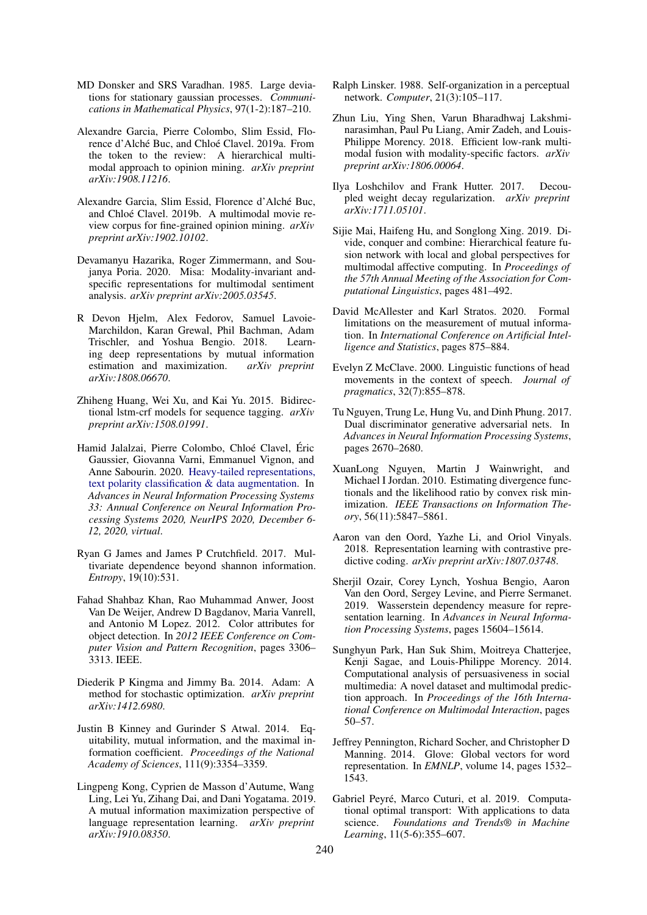- <span id="page-9-15"></span>MD Donsker and SRS Varadhan. 1985. Large deviations for stationary gaussian processes. *Communications in Mathematical Physics*, 97(1-2):187–210.
- <span id="page-9-1"></span>Alexandre Garcia, Pierre Colombo, Slim Essid, Florence d'Alché Buc, and Chloé Clavel. 2019a. From the token to the review: A hierarchical multimodal approach to opinion mining. *arXiv preprint arXiv:1908.11216*.
- <span id="page-9-6"></span>Alexandre Garcia, Slim Essid, Florence d'Alché Buc, and Chloé Clavel. 2019b. A multimodal movie review corpus for fine-grained opinion mining. *arXiv preprint arXiv:1902.10102*.
- <span id="page-9-4"></span>Devamanyu Hazarika, Roger Zimmermann, and Soujanya Poria. 2020. Misa: Modality-invariant andspecific representations for multimodal sentiment analysis. *arXiv preprint arXiv:2005.03545*.
- <span id="page-9-13"></span>R Devon Hjelm, Alex Fedorov, Samuel Lavoie-Marchildon, Karan Grewal, Phil Bachman, Adam Trischler, and Yoshua Bengio. 2018. Learning deep representations by mutual information estimation and maximization. *arXiv preprint arXiv:1808.06670*.
- <span id="page-9-9"></span>Zhiheng Huang, Wei Xu, and Kai Yu. 2015. Bidirectional lstm-crf models for sequence tagging. *arXiv preprint arXiv:1508.01991*.
- <span id="page-9-22"></span>Hamid Jalalzai, Pierre Colombo, Chloé Clavel, Éric Gaussier, Giovanna Varni, Emmanuel Vignon, and Anne Sabourin. 2020. [Heavy-tailed representations,](https://proceedings.neurips.cc/paper/2020/hash/2cfa3753d6a524711acb5fce38eeca1a-Abstract.html) [text polarity classification & data augmentation.](https://proceedings.neurips.cc/paper/2020/hash/2cfa3753d6a524711acb5fce38eeca1a-Abstract.html) In *Advances in Neural Information Processing Systems 33: Annual Conference on Neural Information Processing Systems 2020, NeurIPS 2020, December 6- 12, 2020, virtual*.
- <span id="page-9-19"></span>Ryan G James and James P Crutchfield. 2017. Multivariate dependence beyond shannon information. *Entropy*, 19(10):531.
- <span id="page-9-2"></span>Fahad Shahbaz Khan, Rao Muhammad Anwer, Joost Van De Weijer, Andrew D Bagdanov, Maria Vanrell, and Antonio M Lopez. 2012. Color attributes for object detection. In *2012 IEEE Conference on Computer Vision and Pattern Recognition*, pages 3306– 3313. IEEE.
- <span id="page-9-24"></span>Diederik P Kingma and Jimmy Ba. 2014. Adam: A method for stochastic optimization. *arXiv preprint arXiv:1412.6980*.
- <span id="page-9-10"></span>Justin B Kinney and Gurinder S Atwal. 2014. Equitability, mutual information, and the maximal information coefficient. *Proceedings of the National Academy of Sciences*, 111(9):3354–3359.
- <span id="page-9-14"></span>Lingpeng Kong, Cyprien de Masson d'Autume, Wang Ling, Lei Yu, Zihang Dai, and Dani Yogatama. 2019. A mutual information maximization perspective of language representation learning. *arXiv preprint arXiv:1910.08350*.
- <span id="page-9-7"></span>Ralph Linsker. 1988. Self-organization in a perceptual network. *Computer*, 21(3):105–117.
- <span id="page-9-3"></span>Zhun Liu, Ying Shen, Varun Bharadhwaj Lakshminarasimhan, Paul Pu Liang, Amir Zadeh, and Louis-Philippe Morency. 2018. Efficient low-rank multimodal fusion with modality-specific factors. *arXiv preprint arXiv:1806.00064*.
- <span id="page-9-23"></span>Ilya Loshchilov and Frank Hutter. 2017. Decoupled weight decay regularization. *arXiv preprint arXiv:1711.05101*.
- <span id="page-9-5"></span>Sijie Mai, Haifeng Hu, and Songlong Xing. 2019. Divide, conquer and combine: Hierarchical feature fusion network with local and global perspectives for multimodal affective computing. In *Proceedings of the 57th Annual Meeting of the Association for Computational Linguistics*, pages 481–492.
- <span id="page-9-11"></span>David McAllester and Karl Stratos. 2020. Formal limitations on the measurement of mutual information. In *International Conference on Artificial Intelligence and Statistics*, pages 875–884.
- <span id="page-9-21"></span>Evelyn Z McClave. 2000. Linguistic functions of head movements in the context of speech. *Journal of pragmatics*, 32(7):855–878.
- <span id="page-9-16"></span>Tu Nguyen, Trung Le, Hung Vu, and Dinh Phung. 2017. Dual discriminator generative adversarial nets. In *Advances in Neural Information Processing Systems*, pages 2670–2680.
- <span id="page-9-17"></span>XuanLong Nguyen, Martin J Wainwright, and Michael I Jordan. 2010. Estimating divergence functionals and the likelihood ratio by convex risk minimization. *IEEE Transactions on Information Theory*, 56(11):5847–5861.
- <span id="page-9-18"></span>Aaron van den Oord, Yazhe Li, and Oriol Vinyals. 2018. Representation learning with contrastive predictive coding. *arXiv preprint arXiv:1807.03748*.
- <span id="page-9-8"></span>Sherjil Ozair, Corey Lynch, Yoshua Bengio, Aaron Van den Oord, Sergey Levine, and Pierre Sermanet. 2019. Wasserstein dependency measure for representation learning. In *Advances in Neural Information Processing Systems*, pages 15604–15614.
- <span id="page-9-0"></span>Sunghyun Park, Han Suk Shim, Moitreya Chatterjee, Kenji Sagae, and Louis-Philippe Morency. 2014. Computational analysis of persuasiveness in social multimedia: A novel dataset and multimodal prediction approach. In *Proceedings of the 16th International Conference on Multimodal Interaction*, pages 50–57.
- <span id="page-9-20"></span>Jeffrey Pennington, Richard Socher, and Christopher D Manning. 2014. Glove: Global vectors for word representation. In *EMNLP*, volume 14, pages 1532– 1543.
- <span id="page-9-12"></span>Gabriel Peyré, Marco Cuturi, et al. 2019. Computational optimal transport: With applications to data science. *Foundations and Trends® in Machine Learning*, 11(5-6):355–607.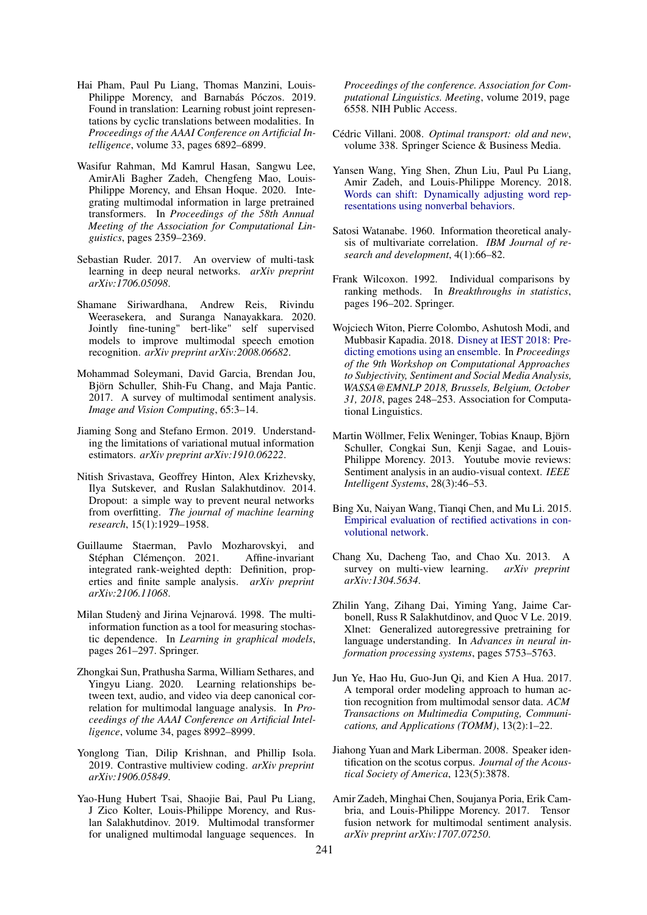- <span id="page-10-5"></span>Hai Pham, Paul Pu Liang, Thomas Manzini, Louis-Philippe Morency, and Barnabás Póczos. 2019. Found in translation: Learning robust joint representations by cyclic translations between modalities. In *Proceedings of the AAAI Conference on Artificial Intelligence*, volume 33, pages 6892–6899.
- <span id="page-10-2"></span>Wasifur Rahman, Md Kamrul Hasan, Sangwu Lee, AmirAli Bagher Zadeh, Chengfeng Mao, Louis-Philippe Morency, and Ehsan Hoque. 2020. Integrating multimodal information in large pretrained transformers. In *Proceedings of the 58th Annual Meeting of the Association for Computational Linguistics*, pages 2359–2369.
- <span id="page-10-12"></span>Sebastian Ruder. 2017. An overview of multi-task learning in deep neural networks. *arXiv preprint arXiv:1706.05098*.
- <span id="page-10-9"></span>Shamane Siriwardhana, Andrew Reis, Rivindu Weerasekera, and Suranga Nanayakkara. 2020. Jointly fine-tuning" bert-like" self supervised models to improve multimodal speech emotion recognition. *arXiv preprint arXiv:2008.06682*.
- <span id="page-10-0"></span>Mohammad Soleymani, David Garcia, Brendan Jou, Björn Schuller, Shih-Fu Chang, and Maja Pantic. 2017. A survey of multimodal sentiment analysis. *Image and Vision Computing*, 65:3–14.
- <span id="page-10-19"></span>Jiaming Song and Stefano Ermon. 2019. Understanding the limitations of variational mutual information estimators. *arXiv preprint arXiv:1910.06222*.
- <span id="page-10-22"></span>Nitish Srivastava, Geoffrey Hinton, Alex Krizhevsky, Ilya Sutskever, and Ruslan Salakhutdinov. 2014. Dropout: a simple way to prevent neural networks from overfitting. *The journal of machine learning research*, 15(1):1929–1958.
- <span id="page-10-20"></span>Guillaume Staerman, Pavlo Mozharovskyi, and Stéphan Clémençon. 2021. Affine-invariant integrated rank-weighted depth: Definition, properties and finite sample analysis. *arXiv preprint arXiv:2106.11068*.
- <span id="page-10-13"></span>Milan Studenỳ and Jirina Vejnarová. 1998. The multiinformation function as a tool for measuring stochastic dependence. In *Learning in graphical models*, pages 261–297. Springer.
- <span id="page-10-6"></span>Zhongkai Sun, Prathusha Sarma, William Sethares, and Yingyu Liang. 2020. Learning relationships between text, audio, and video via deep canonical correlation for multimodal language analysis. In *Proceedings of the AAAI Conference on Artificial Intelligence*, volume 34, pages 8992–8999.
- <span id="page-10-11"></span>Yonglong Tian, Dilip Krishnan, and Phillip Isola. 2019. Contrastive multiview coding. *arXiv preprint arXiv:1906.05849*.
- <span id="page-10-8"></span>Yao-Hung Hubert Tsai, Shaojie Bai, Paul Pu Liang, J Zico Kolter, Louis-Philippe Morency, and Ruslan Salakhutdinov. 2019. Multimodal transformer for unaligned multimodal language sequences. In

*Proceedings of the conference. Association for Computational Linguistics. Meeting*, volume 2019, page 6558. NIH Public Access.

- <span id="page-10-14"></span>Cédric Villani. 2008. *Optimal transport: old and new*, volume 338. Springer Science & Business Media.
- <span id="page-10-17"></span>Yansen Wang, Ying Shen, Zhun Liu, Paul Pu Liang, Amir Zadeh, and Louis-Philippe Morency. 2018. [Words can shift: Dynamically adjusting word rep](http://arxiv.org/abs/1811.09362)[resentations using nonverbal behaviors.](http://arxiv.org/abs/1811.09362)
- <span id="page-10-10"></span>Satosi Watanabe. 1960. Information theoretical analysis of multivariate correlation. *IBM Journal of research and development*, 4(1):66–82.
- <span id="page-10-18"></span>Frank Wilcoxon. 1992. Individual comparisons by ranking methods. In *Breakthroughs in statistics*, pages 196–202. Springer.
- <span id="page-10-21"></span>Wojciech Witon, Pierre Colombo, Ashutosh Modi, and Mubbasir Kapadia. 2018. [Disney at IEST 2018: Pre](https://doi.org/10.18653/v1/w18-6236)[dicting emotions using an ensemble.](https://doi.org/10.18653/v1/w18-6236) In *Proceedings of the 9th Workshop on Computational Approaches to Subjectivity, Sentiment and Social Media Analysis, WASSA@EMNLP 2018, Brussels, Belgium, October 31, 2018*, pages 248–253. Association for Computational Linguistics.
- <span id="page-10-7"></span>Martin Wöllmer, Felix Weninger, Tobias Knaup, Björn Schuller, Congkai Sun, Kenji Sagae, and Louis-Philippe Morency. 2013. Youtube movie reviews: Sentiment analysis in an audio-visual context. *IEEE Intelligent Systems*, 28(3):46–53.
- <span id="page-10-23"></span>Bing Xu, Naiyan Wang, Tianqi Chen, and Mu Li. 2015. [Empirical evaluation of rectified activations in con](http://arxiv.org/abs/1505.00853)[volutional network.](http://arxiv.org/abs/1505.00853)
- <span id="page-10-1"></span>Chang Xu, Dacheng Tao, and Chao Xu. 2013. A survey on multi-view learning. *arXiv preprint arXiv:1304.5634*.
- <span id="page-10-16"></span>Zhilin Yang, Zihang Dai, Yiming Yang, Jaime Carbonell, Russ R Salakhutdinov, and Quoc V Le. 2019. Xlnet: Generalized autoregressive pretraining for language understanding. In *Advances in neural information processing systems*, pages 5753–5763.
- <span id="page-10-3"></span>Jun Ye, Hao Hu, Guo-Jun Qi, and Kien A Hua. 2017. A temporal order modeling approach to human action recognition from multimodal sensor data. *ACM Transactions on Multimedia Computing, Communications, and Applications (TOMM)*, 13(2):1–22.
- <span id="page-10-15"></span>Jiahong Yuan and Mark Liberman. 2008. Speaker identification on the scotus corpus. *Journal of the Acoustical Society of America*, 123(5):3878.
- <span id="page-10-4"></span>Amir Zadeh, Minghai Chen, Soujanya Poria, Erik Cambria, and Louis-Philippe Morency. 2017. Tensor fusion network for multimodal sentiment analysis. *arXiv preprint arXiv:1707.07250*.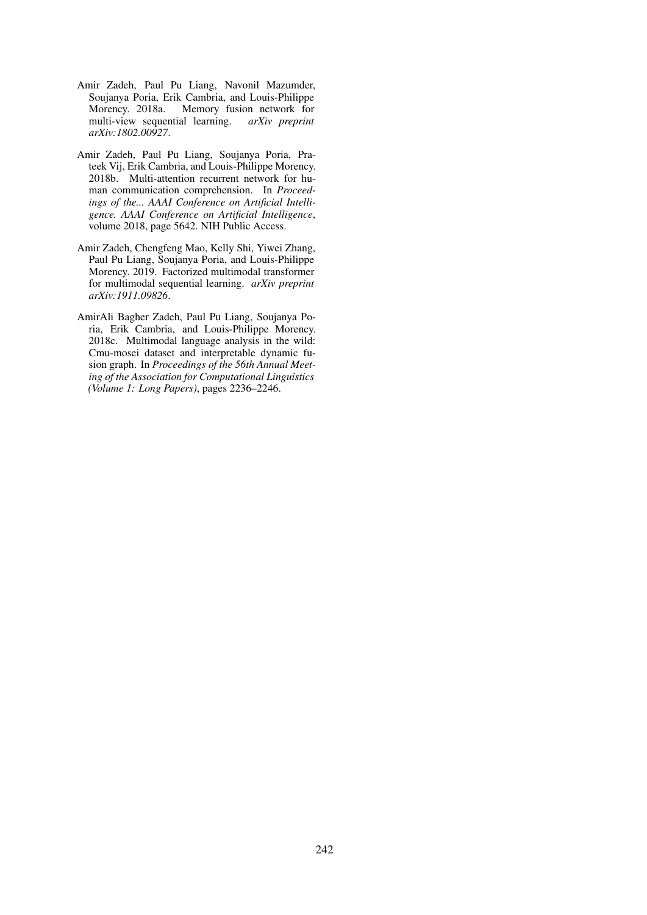- <span id="page-11-3"></span>Amir Zadeh, Paul Pu Liang, Navonil Mazumder, Soujanya Poria, Erik Cambria, and Louis-Philippe Morency. 2018a. Memory fusion network for multi-view sequential learning. *arXiv preprint arXiv:1802.00927*.
- <span id="page-11-0"></span>Amir Zadeh, Paul Pu Liang, Soujanya Poria, Prateek Vij, Erik Cambria, and Louis-Philippe Morency. 2018b. Multi-attention recurrent network for human communication comprehension. In *Proceedings of the... AAAI Conference on Artificial Intelligence. AAAI Conference on Artificial Intelligence*, volume 2018, page 5642. NIH Public Access.
- <span id="page-11-2"></span>Amir Zadeh, Chengfeng Mao, Kelly Shi, Yiwei Zhang, Paul Pu Liang, Soujanya Poria, and Louis-Philippe Morency. 2019. Factorized multimodal transformer for multimodal sequential learning. *arXiv preprint arXiv:1911.09826*.
- <span id="page-11-1"></span>AmirAli Bagher Zadeh, Paul Pu Liang, Soujanya Poria, Erik Cambria, and Louis-Philippe Morency. 2018c. Multimodal language analysis in the wild: Cmu-mosei dataset and interpretable dynamic fusion graph. In *Proceedings of the 56th Annual Meeting of the Association for Computational Linguistics (Volume 1: Long Papers)*, pages 2236–2246.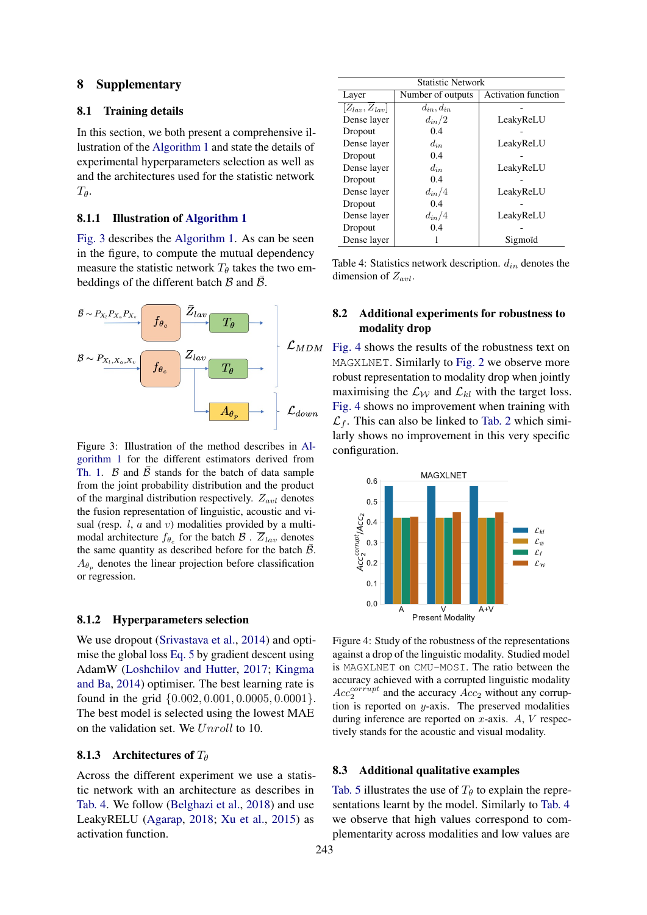### <span id="page-12-0"></span>8 Supplementary

#### 8.1 Training details

In this section, we both present a comprehensive illustration of the [Algorithm 1](#page-4-0) and state the details of experimental hyperparameters selection as well as and the architectures used for the statistic network  $T_{\theta}$ .

### 8.1.1 Illustration of [Algorithm 1](#page-4-0)

[Fig. 3](#page-12-2) describes the [Algorithm 1.](#page-4-0) As can be seen in the figure, to compute the mutual dependency measure the statistic network  $T_{\theta}$  takes the two embeddings of the different batch  $\beta$  and  $\overline{\beta}$ .

<span id="page-12-2"></span>

Figure 3: Illustration of the method describes in [Al](#page-4-0)[gorithm 1](#page-4-0) for the different estimators derived from [Th. 1.](#page-3-2) B and  $\bar{B}$  stands for the batch of data sample from the joint probability distribution and the product of the marginal distribution respectively.  $Z_{avl}$  denotes the fusion representation of linguistic, acoustic and visual (resp.  $l$ ,  $a$  and  $v$ ) modalities provided by a multimodal architecture  $f_{\theta_e}$  for the batch  $\mathcal{B}$ .  $\overline{Z}_{lav}$  denotes the same quantity as described before for the batch  $\overline{B}$ .  $A_{\theta_p}$  denotes the linear projection before classification or regression.

#### 8.1.2 Hyperparameters selection

We use dropout [\(Srivastava et al.,](#page-10-22) [2014\)](#page-10-22) and optimise the global loss [Eq. 5](#page-2-5) by gradient descent using AdamW [\(Loshchilov and Hutter,](#page-9-23) [2017;](#page-9-23) [Kingma](#page-9-24) [and Ba,](#page-9-24) [2014\)](#page-9-24) optimiser. The best learning rate is found in the grid {0.002, 0.001, 0.0005, 0.0001}. The best model is selected using the lowest MAE on the validation set. We Unroll to 10.

#### **8.1.3** Architectures of  $T_{\theta}$

Across the different experiment we use a statistic network with an architecture as describes in [Tab. 4.](#page-12-3) We follow [\(Belghazi et al.,](#page-8-2) [2018\)](#page-8-2) and use LeakyRELU [\(Agarap,](#page-8-16) [2018;](#page-8-16) [Xu et al.,](#page-10-23) [2015\)](#page-10-23) as activation function.

<span id="page-12-3"></span>

| <b>Statistic Network</b>        |                     |                            |  |  |
|---------------------------------|---------------------|----------------------------|--|--|
| Layer                           | Number of outputs   | <b>Activation function</b> |  |  |
| $[Z_{lav}, \overline{Z}_{lav}]$ | $d_{in}$ , $d_{in}$ |                            |  |  |
| Dense layer                     | $d_{in}/2$          | LeakyReLU                  |  |  |
| Dropout                         | 0.4                 |                            |  |  |
| Dense layer                     | $d_{in}$            | LeakyReLU                  |  |  |
| Dropout                         | 0.4                 |                            |  |  |
| Dense layer                     | $d_{in}$            | LeakyReLU                  |  |  |
| Dropout                         | 0.4                 |                            |  |  |
| Dense layer                     | $d_{in}/4$          | LeakyReLU                  |  |  |
| Dropout                         | 0.4                 |                            |  |  |
| Dense layer                     | $d_{in}/4$          | LeakyReLU                  |  |  |
| Dropout                         | 0.4                 |                            |  |  |
| Dense layer                     |                     | Sigmoïd                    |  |  |

Table 4: Statistics network description.  $d_{in}$  denotes the dimension of  $Z_{avl}$ .

# 8.2 Additional experiments for robustness to modality drop

[Fig. 4](#page-12-4) shows the results of the robustness text on MAGXLNET. Similarly to [Fig. 2](#page-7-2) we observe more robust representation to modality drop when jointly maximising the  $\mathcal{L}_{\mathcal{W}}$  and  $\mathcal{L}_{kl}$  with the target loss. [Fig. 4](#page-12-4) shows no improvement when training with  $\mathcal{L}_f$ . This can also be linked to [Tab. 2](#page-6-2) which similarly shows no improvement in this very specific configuration.

<span id="page-12-4"></span>

Figure 4: Study of the robustness of the representations against a drop of the linguistic modality. Studied model is MAGXLNET on CMU-MOSI. The ratio between the accuracy achieved with a corrupted linguistic modality  $Acc_2^{corrupt}$  and the accuracy  $Acc_2$  without any corruption is reported on  $y$ -axis. The preserved modalities during inference are reported on  $x$ -axis.  $A$ ,  $V$  respectively stands for the acoustic and visual modality.

#### <span id="page-12-1"></span>8.3 Additional qualitative examples

[Tab. 5](#page-14-0) illustrates the use of  $T_\theta$  to explain the representations learnt by the model. Similarly to [Tab. 4](#page-12-3) we observe that high values correspond to complementarity across modalities and low values are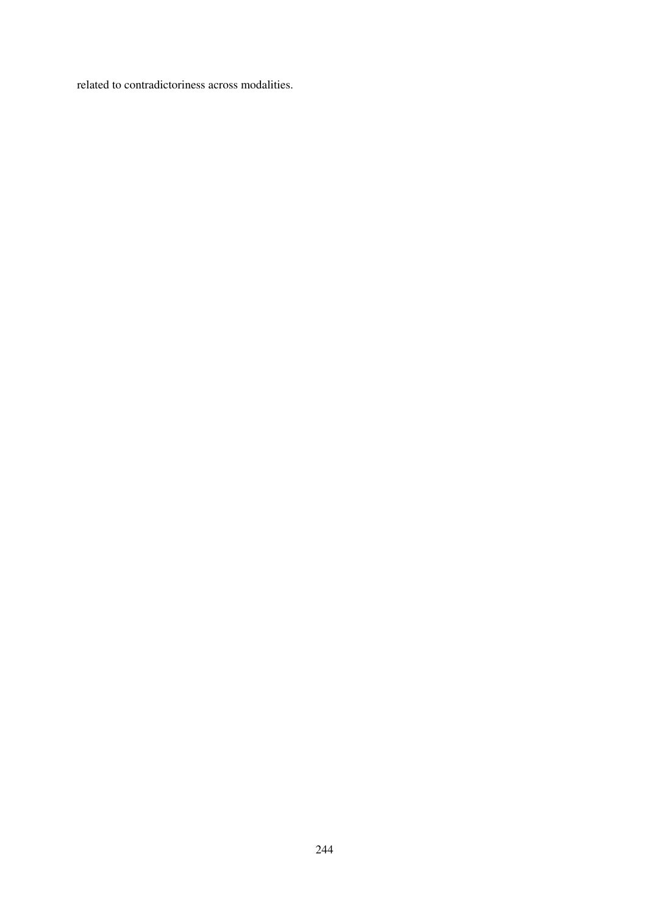related to contradictoriness across modalities.